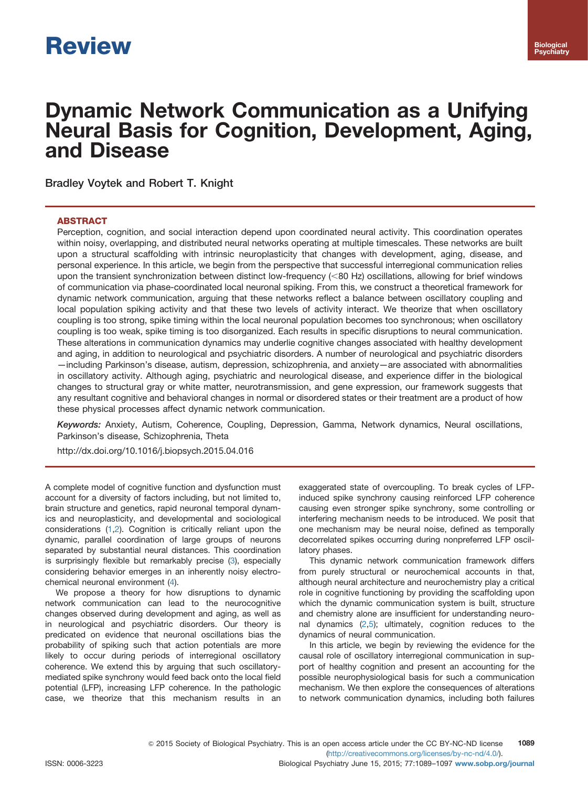# Dynamic Network Communication as a Unifying Neural Basis for Cognition, Development, Aging, and Disease

Bradley Voytek and Robert T. Knight

# **ABSTRACT**

Perception, cognition, and social interaction depend upon coordinated neural activity. This coordination operates within noisy, overlapping, and distributed neural networks operating at multiple timescales. These networks are built upon a structural scaffolding with intrinsic neuroplasticity that changes with development, aging, disease, and personal experience. In this article, we begin from the perspective that successful interregional communication relies upon the transient synchronization between distinct low-frequency (<80 Hz) oscillations, allowing for brief windows of communication via phase-coordinated local neuronal spiking. From this, we construct a theoretical framework for dynamic network communication, arguing that these networks reflect a balance between oscillatory coupling and local population spiking activity and that these two levels of activity interact. We theorize that when oscillatory coupling is too strong, spike timing within the local neuronal population becomes too synchronous; when oscillatory coupling is too weak, spike timing is too disorganized. Each results in specific disruptions to neural communication. These alterations in communication dynamics may underlie cognitive changes associated with healthy development and aging, in addition to neurological and psychiatric disorders. A number of neurological and psychiatric disorders —including Parkinson's disease, autism, depression, schizophrenia, and anxiety—are associated with abnormalities in oscillatory activity. Although aging, psychiatric and neurological disease, and experience differ in the biological changes to structural gray or white matter, neurotransmission, and gene expression, our framework suggests that any resultant cognitive and behavioral changes in normal or disordered states or their treatment are a product of how these physical processes affect dynamic network communication.

Keywords: Anxiety, Autism, Coherence, Coupling, Depression, Gamma, Network dynamics, Neural oscillations, Parkinson's disease, Schizophrenia, Theta

[http://dx.doi.org/10.1016/j.biopsych.2015.04.016](dx.doi.org/10.1016/j.biopsych.2015.04.016)

A complete model of cognitive function and dysfunction must account for a diversity of factors including, but not limited to, brain structure and genetics, rapid neuronal temporal dynamics and neuroplasticity, and developmental and sociological considerations [\(1,2\)](#page-5-0). Cognition is critically reliant upon the dynamic, parallel coordination of large groups of neurons separated by substantial neural distances. This coordination is surprisingly flexible but remarkably precise [\(3\)](#page-5-0), especially considering behavior emerges in an inherently noisy electrochemical neuronal environment ([4\)](#page-5-0).

We propose a theory for how disruptions to dynamic network communication can lead to the neurocognitive changes observed during development and aging, as well as in neurological and psychiatric disorders. Our theory is predicated on evidence that neuronal oscillations bias the probability of spiking such that action potentials are more likely to occur during periods of interregional oscillatory coherence. We extend this by arguing that such oscillatorymediated spike synchrony would feed back onto the local field potential (LFP), increasing LFP coherence. In the pathologic case, we theorize that this mechanism results in an exaggerated state of overcoupling. To break cycles of LFPinduced spike synchrony causing reinforced LFP coherence causing even stronger spike synchrony, some controlling or interfering mechanism needs to be introduced. We posit that one mechanism may be neural noise, defined as temporally decorrelated spikes occurring during nonpreferred LFP oscillatory phases.

This dynamic network communication framework differs from purely structural or neurochemical accounts in that, although neural architecture and neurochemistry play a critical role in cognitive functioning by providing the scaffolding upon which the dynamic communication system is built, structure and chemistry alone are insufficient for understanding neuronal dynamics [\(2,5\)](#page-5-0); ultimately, cognition reduces to the dynamics of neural communication.

In this article, we begin by reviewing the evidence for the causal role of oscillatory interregional communication in support of healthy cognition and present an accounting for the possible neurophysiological basis for such a communication mechanism. We then explore the consequences of alterations to network communication dynamics, including both failures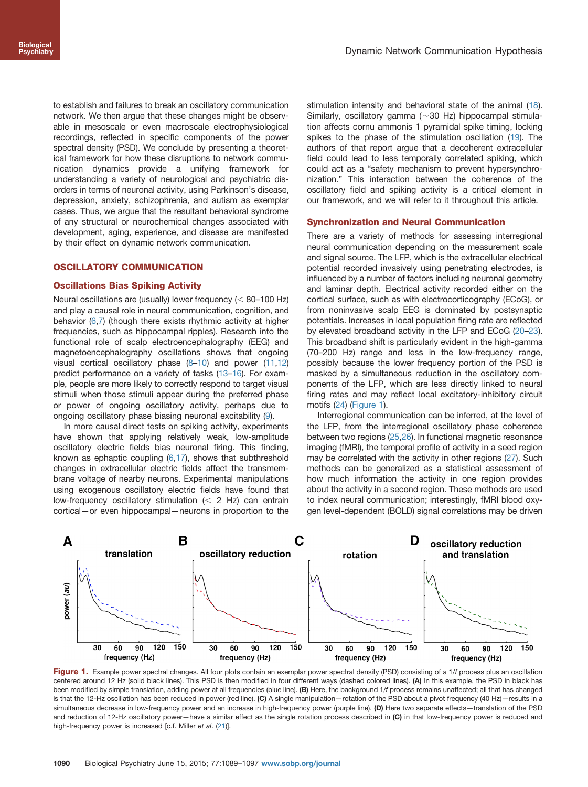<span id="page-1-0"></span>to establish and failures to break an oscillatory communication network. We then argue that these changes might be observable in mesoscale or even macroscale electrophysiological recordings, reflected in specific components of the power spectral density (PSD). We conclude by presenting a theoretical framework for how these disruptions to network communication dynamics provide a unifying framework for understanding a variety of neurological and psychiatric disorders in terms of neuronal activity, using Parkinson's disease, depression, anxiety, schizophrenia, and autism as exemplar cases. Thus, we argue that the resultant behavioral syndrome of any structural or neurochemical changes associated with development, aging, experience, and disease are manifested by their effect on dynamic network communication.

# OSCILLATORY COMMUNICATION

## Oscillations Bias Spiking Activity

Neural oscillations are (usually) lower frequency  $(< 80-100$  Hz) and play a causal role in neural communication, cognition, and behavior ([6,7\)](#page-5-0) (though there exists rhythmic activity at higher frequencies, such as hippocampal ripples). Research into the functional role of scalp electroencephalography (EEG) and magnetoencephalography oscillations shows that ongoing visual cortical oscillatory phase [\(8](#page-5-0)–[10\)](#page-5-0) and power [\(11,12](#page-5-0)) predict performance on a variety of tasks [\(13](#page-5-0)–[16](#page-5-0)). For example, people are more likely to correctly respond to target visual stimuli when those stimuli appear during the preferred phase or power of ongoing oscillatory activity, perhaps due to ongoing oscillatory phase biasing neuronal excitability [\(9\)](#page-5-0).

In more causal direct tests on spiking activity, experiments have shown that applying relatively weak, low-amplitude oscillatory electric fields bias neuronal firing. This finding, known as ephaptic coupling  $(6,17)$  $(6,17)$ , shows that subthreshold changes in extracellular electric fields affect the transmembrane voltage of nearby neurons. Experimental manipulations using exogenous oscillatory electric fields have found that low-frequency oscillatory stimulation  $(< 2$  Hz) can entrain cortical—or even hippocampal—neurons in proportion to the stimulation intensity and behavioral state of the animal [\(18\)](#page-5-0). Similarly, oscillatory gamma ( $\sim$  30 Hz) hippocampal stimulation affects cornu ammonis 1 pyramidal spike timing, locking spikes to the phase of the stimulation oscillation ([19](#page-5-0)). The authors of that report argue that a decoherent extracellular field could lead to less temporally correlated spiking, which could act as a "safety mechanism to prevent hypersynchronization." This interaction between the coherence of the oscillatory field and spiking activity is a critical element in our framework, and we will refer to it throughout this article.

#### Synchronization and Neural Communication

There are a variety of methods for assessing interregional neural communication depending on the measurement scale and signal source. The LFP, which is the extracellular electrical potential recorded invasively using penetrating electrodes, is influenced by a number of factors including neuronal geometry and laminar depth. Electrical activity recorded either on the cortical surface, such as with electrocorticography (ECoG), or from noninvasive scalp EEG is dominated by postsynaptic potentials. Increases in local population firing rate are reflected by elevated broadband activity in the LFP and ECoG ([20](#page-6-0)–[23\)](#page-6-0). This broadband shift is particularly evident in the high-gamma (70–200 Hz) range and less in the low-frequency range, possibly because the lower frequency portion of the PSD is masked by a simultaneous reduction in the oscillatory components of the LFP, which are less directly linked to neural firing rates and may reflect local excitatory-inhibitory circuit motifs ([24](#page-6-0)) (Figure 1).

Interregional communication can be inferred, at the level of the LFP, from the interregional oscillatory phase coherence between two regions [\(25](#page-6-0),[26](#page-6-0)). In functional magnetic resonance imaging (fMRI), the temporal profile of activity in a seed region may be correlated with the activity in other regions ([27](#page-6-0)). Such methods can be generalized as a statistical assessment of how much information the activity in one region provides about the activity in a second region. These methods are used to index neural communication; interestingly, fMRI blood oxygen level-dependent (BOLD) signal correlations may be driven



Figure 1. Example power spectral changes. All four plots contain an exemplar power spectral density (PSD) consisting of a 1/f process plus an oscillation centered around 12 Hz (solid black lines). This PSD is then modified in four different ways (dashed colored lines). (A) In this example, the PSD in black has been modified by simple translation, adding power at all frequencies (blue line). (B) Here, the background 1/f process remains unaffected; all that has changed is that the 12-Hz oscillation has been reduced in power (red line). (C) A single manipulation—rotation of the PSD about a pivot frequency (40 Hz)—results in a simultaneous decrease in low-frequency power and an increase in high-frequency power (purple line). (D) Here two separate effects—translation of the PSD and reduction of 12-Hz oscillatory power—have a similar effect as the single rotation process described in (C) in that low-frequency power is reduced and high-frequency power is increased [c.f. Miller et al. ([21](#page-6-0))].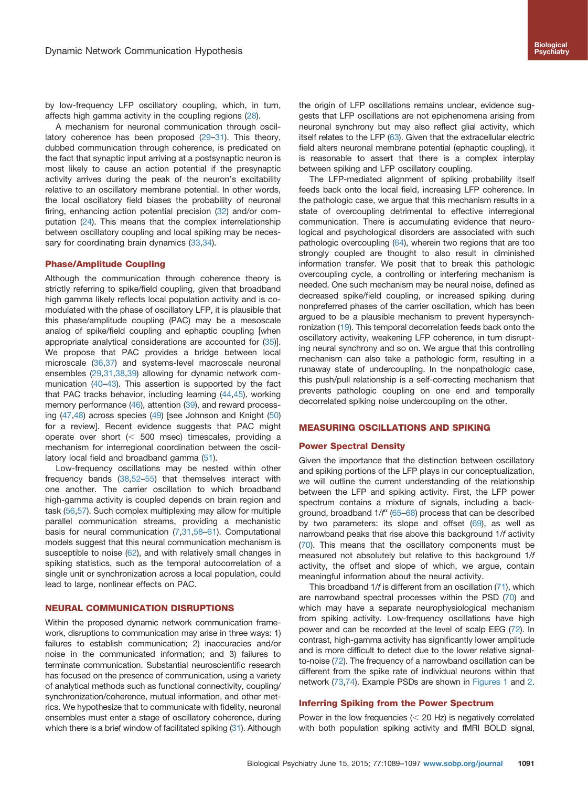by low-frequency LFP oscillatory coupling, which, in turn, affects high gamma activity in the coupling regions ([28](#page-6-0)).

A mechanism for neuronal communication through oscillatory coherence has been proposed ([29](#page-6-0)–[31\)](#page-6-0). This theory, dubbed communication through coherence, is predicated on the fact that synaptic input arriving at a postsynaptic neuron is most likely to cause an action potential if the presynaptic activity arrives during the peak of the neuron's excitability relative to an oscillatory membrane potential. In other words, the local oscillatory field biases the probability of neuronal firing, enhancing action potential precision [\(32](#page-6-0)) and/or computation [\(24](#page-6-0)). This means that the complex interrelationship between oscillatory coupling and local spiking may be neces-sary for coordinating brain dynamics ([33](#page-6-0),[34\)](#page-6-0).

#### Phase/Amplitude Coupling

Although the communication through coherence theory is strictly referring to spike/field coupling, given that broadband high gamma likely reflects local population activity and is comodulated with the phase of oscillatory LFP, it is plausible that this phase/amplitude coupling (PAC) may be a mesoscale analog of spike/field coupling and ephaptic coupling [when appropriate analytical considerations are accounted for ([35\)](#page-6-0)]. We propose that PAC provides a bridge between local microscale [\(36,37](#page-6-0)) and systems-level macroscale neuronal ensembles ([29,31,38](#page-6-0),[39\)](#page-6-0) allowing for dynamic network communication ([40](#page-6-0)–[43\)](#page-6-0). This assertion is supported by the fact that PAC tracks behavior, including learning ([44,45\)](#page-6-0), working memory performance ([46\)](#page-6-0), attention ([39](#page-6-0)), and reward processing ([47](#page-6-0),[48\)](#page-6-0) across species [\(49\)](#page-6-0) [see Johnson and Knight [\(50](#page-6-0)) for a review]. Recent evidence suggests that PAC might operate over short  $( $500$  msec) timescales, providing a$ mechanism for interregional coordination between the oscillatory local field and broadband gamma ([51](#page-6-0)).

Low-frequency oscillations may be nested within other frequency bands [\(38,52](#page-6-0)–[55\)](#page-6-0) that themselves interact with one another. The carrier oscillation to which broadband high-gamma activity is coupled depends on brain region and task [\(56,57](#page-6-0)). Such complex multiplexing may allow for multiple parallel communication streams, providing a mechanistic basis for neural communication [\(7,](#page-5-0)[31](#page-6-0),[58](#page-6-0)–[61\)](#page-6-0). Computational models suggest that this neural communication mechanism is susceptible to noise ([62](#page-6-0)), and with relatively small changes in spiking statistics, such as the temporal autocorrelation of a single unit or synchronization across a local population, could lead to large, nonlinear effects on PAC.

#### NEURAL COMMUNICATION DISRUPTIONS

Within the proposed dynamic network communication framework, disruptions to communication may arise in three ways: 1) failures to establish communication; 2) inaccuracies and/or noise in the communicated information; and 3) failures to terminate communication. Substantial neuroscientific research has focused on the presence of communication, using a variety of analytical methods such as functional connectivity, coupling/ synchronization/coherence, mutual information, and other metrics. We hypothesize that to communicate with fidelity, neuronal ensembles must enter a stage of oscillatory coherence, during which there is a brief window of facilitated spiking  $(31)$  $(31)$ . Although

the origin of LFP oscillations remains unclear, evidence suggests that LFP oscillations are not epiphenomena arising from neuronal synchrony but may also reflect glial activity, which itself relates to the LFP ([63\)](#page-7-0). Given that the extracellular electric field alters neuronal membrane potential (ephaptic coupling), it is reasonable to assert that there is a complex interplay between spiking and LFP oscillatory coupling.

The LFP-mediated alignment of spiking probability itself feeds back onto the local field, increasing LFP coherence. In the pathologic case, we argue that this mechanism results in a state of overcoupling detrimental to effective interregional communication. There is accumulating evidence that neurological and psychological disorders are associated with such pathologic overcoupling ([64\)](#page-7-0), wherein two regions that are too strongly coupled are thought to also result in diminished information transfer. We posit that to break this pathologic overcoupling cycle, a controlling or interfering mechanism is needed. One such mechanism may be neural noise, defined as decreased spike/field coupling, or increased spiking during nonpreferred phases of the carrier oscillation, which has been argued to be a plausible mechanism to prevent hypersynchronization [\(19\)](#page-5-0). This temporal decorrelation feeds back onto the oscillatory activity, weakening LFP coherence, in turn disrupting neural synchrony and so on. We argue that this controlling mechanism can also take a pathologic form, resulting in a runaway state of undercoupling. In the nonpathologic case, this push/pull relationship is a self-correcting mechanism that prevents pathologic coupling on one end and temporally decorrelated spiking noise undercoupling on the other.

### MEASURING OSCILLATIONS AND SPIKING

#### Power Spectral Density

Given the importance that the distinction between oscillatory and spiking portions of the LFP plays in our conceptualization, we will outline the current understanding of the relationship between the LFP and spiking activity. First, the LFP power spectrum contains a mixture of signals, including a background, broadband 1/ $f^{\alpha}$  [\(65](#page-7-0)–[68](#page-7-0)) process that can be described by two parameters: its slope and offset ([69](#page-7-0)), as well as narrowband peaks that rise above this background 1/f activity ([70](#page-7-0)). This means that the oscillatory components must be measured not absolutely but relative to this background 1/f activity, the offset and slope of which, we argue, contain meaningful information about the neural activity.

This broadband 1/f is different from an oscillation [\(71](#page-7-0)), which are narrowband spectral processes within the PSD ([70\)](#page-7-0) and which may have a separate neurophysiological mechanism from spiking activity. Low-frequency oscillations have high power and can be recorded at the level of scalp EEG [\(72\)](#page-7-0). In contrast, high-gamma activity has significantly lower amplitude and is more difficult to detect due to the lower relative signalto-noise ([72\)](#page-7-0). The frequency of a narrowband oscillation can be different from the spike rate of individual neurons within that network [\(73,74](#page-7-0)). Example PSDs are shown in [Figures 1](#page-1-0) and [2.](#page-3-0)

### Inferring Spiking from the Power Spectrum

Power in the low frequencies  $(< 20$  Hz) is negatively correlated with both population spiking activity and fMRI BOLD signal,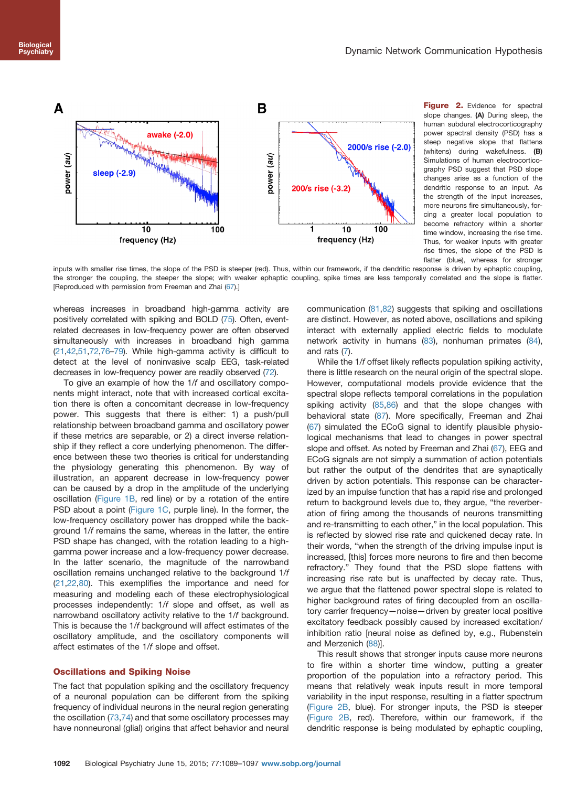<span id="page-3-0"></span>

Figure 2. Evidence for spectral slope changes. (A) During sleep, the human subdural electrocorticography power spectral density (PSD) has a steep negative slope that flattens (whitens) during wakefulness. (B) Simulations of human electrocorticography PSD suggest that PSD slope changes arise as a function of the dendritic response to an input. As the strength of the input increases, more neurons fire simultaneously, forcing a greater local population to become refractory within a shorter time window, increasing the rise time. Thus, for weaker inputs with greater rise times, the slope of the PSD is flatter (blue), whereas for stronger

inputs with smaller rise times, the slope of the PSD is steeper (red). Thus, within our framework, if the dendritic response is driven by ephaptic coupling, the stronger the coupling, the steeper the slope; with weaker ephaptic coupling, spike times are less temporally correlated and the slope is flatter. [Reproduced with permission from Freeman and Zhai [\(67](#page-7-0)).]

whereas increases in broadband high-gamma activity are positively correlated with spiking and BOLD [\(75](#page-7-0)). Often, eventrelated decreases in low-frequency power are often observed simultaneously with increases in broadband high gamma [\(21,42](#page-6-0),[51,](#page-6-0)[72,76](#page-7-0)–[79\)](#page-7-0). While high-gamma activity is difficult to detect at the level of noninvasive scalp EEG, task-related decreases in low-frequency power are readily observed ([72\)](#page-7-0).

To give an example of how the 1/f and oscillatory components might interact, note that with increased cortical excitation there is often a concomitant decrease in low-frequency power. This suggests that there is either: 1) a push/pull relationship between broadband gamma and oscillatory power if these metrics are separable, or 2) a direct inverse relationship if they reflect a core underlying phenomenon. The difference between these two theories is critical for understanding the physiology generating this phenomenon. By way of illustration, an apparent decrease in low-frequency power can be caused by a drop in the amplitude of the underlying oscillation ([Figure 1B](#page-1-0), red line) or by a rotation of the entire PSD about a point [\(Figure 1C,](#page-1-0) purple line). In the former, the low-frequency oscillatory power has dropped while the background 1/f remains the same, whereas in the latter, the entire PSD shape has changed, with the rotation leading to a highgamma power increase and a low-frequency power decrease. In the latter scenario, the magnitude of the narrowband oscillation remains unchanged relative to the background 1/f [\(21,22](#page-6-0),[80\)](#page-7-0). This exemplifies the importance and need for measuring and modeling each of these electrophysiological processes independently: 1/f slope and offset, as well as narrowband oscillatory activity relative to the 1/f background. This is because the 1/f background will affect estimates of the oscillatory amplitude, and the oscillatory components will affect estimates of the 1/f slope and offset.

## Oscillations and Spiking Noise

The fact that population spiking and the oscillatory frequency of a neuronal population can be different from the spiking frequency of individual neurons in the neural region generating the oscillation [\(73](#page-7-0),[74](#page-7-0)) and that some oscillatory processes may have nonneuronal (glial) origins that affect behavior and neural communication ([81](#page-7-0),[82\)](#page-7-0) suggests that spiking and oscillations are distinct. However, as noted above, oscillations and spiking interact with externally applied electric fields to modulate network activity in humans ([83](#page-7-0)), nonhuman primates [\(84\)](#page-7-0), and rats ([7\)](#page-5-0).

While the 1/f offset likely reflects population spiking activity, there is little research on the neural origin of the spectral slope. However, computational models provide evidence that the spectral slope reflects temporal correlations in the population spiking activity ([85,86\)](#page-7-0) and that the slope changes with behavioral state ([87](#page-7-0)). More specifically, Freeman and Zhai ([67](#page-7-0)) simulated the ECoG signal to identify plausible physiological mechanisms that lead to changes in power spectral slope and offset. As noted by Freeman and Zhai ([67](#page-7-0)), EEG and ECoG signals are not simply a summation of action potentials but rather the output of the dendrites that are synaptically driven by action potentials. This response can be characterized by an impulse function that has a rapid rise and prolonged return to background levels due to, they argue, "the reverberation of firing among the thousands of neurons transmitting and re-transmitting to each other," in the local population. This is reflected by slowed rise rate and quickened decay rate. In their words, "when the strength of the driving impulse input is increased, [this] forces more neurons to fire and then become refractory." They found that the PSD slope flattens with increasing rise rate but is unaffected by decay rate. Thus, we argue that the flattened power spectral slope is related to higher background rates of firing decoupled from an oscillatory carrier frequency—noise—driven by greater local positive excitatory feedback possibly caused by increased excitation/ inhibition ratio [neural noise as defined by, e.g., Rubenstein and Merzenich ([88](#page-7-0))].

This result shows that stronger inputs cause more neurons to fire within a shorter time window, putting a greater proportion of the population into a refractory period. This means that relatively weak inputs result in more temporal variability in the input response, resulting in a flatter spectrum (Figure 2B, blue). For stronger inputs, the PSD is steeper (Figure 2B, red). Therefore, within our framework, if the dendritic response is being modulated by ephaptic coupling,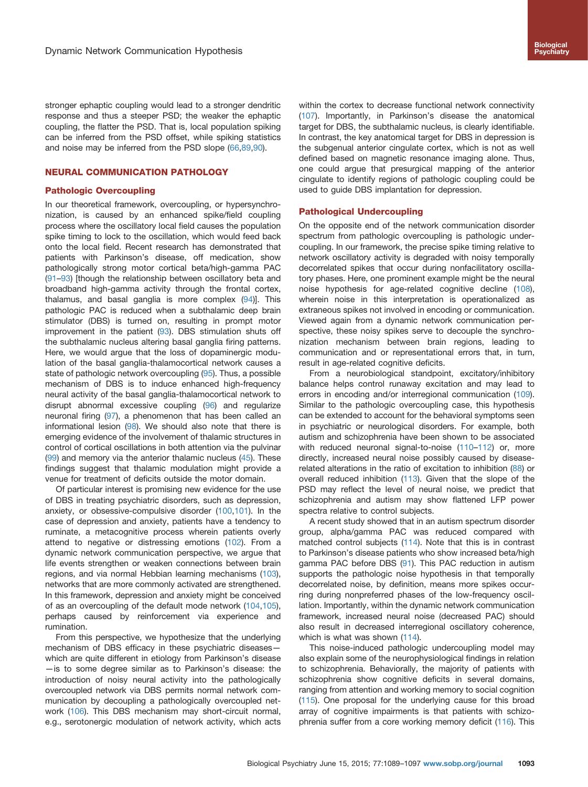stronger ephaptic coupling would lead to a stronger dendritic response and thus a steeper PSD; the weaker the ephaptic coupling, the flatter the PSD. That is, local population spiking can be inferred from the PSD offset, while spiking statistics and noise may be inferred from the PSD slope ([66,89,90](#page-7-0)).

## NEURAL COMMUNICATION PATHOLOGY

#### Pathologic Overcoupling

In our theoretical framework, overcoupling, or hypersynchronization, is caused by an enhanced spike/field coupling process where the oscillatory local field causes the population spike timing to lock to the oscillation, which would feed back onto the local field. Recent research has demonstrated that patients with Parkinson's disease, off medication, show pathologically strong motor cortical beta/high-gamma PAC [\(91](#page-7-0)–[93](#page-7-0)) [though the relationship between oscillatory beta and broadband high-gamma activity through the frontal cortex, thalamus, and basal ganglia is more complex [\(94\)](#page-7-0)]. This pathologic PAC is reduced when a subthalamic deep brain stimulator (DBS) is turned on, resulting in prompt motor improvement in the patient ([93](#page-7-0)). DBS stimulation shuts off the subthalamic nucleus altering basal ganglia firing patterns. Here, we would argue that the loss of dopaminergic modulation of the basal ganglia-thalamocortical network causes a state of pathologic network overcoupling [\(95\)](#page-7-0). Thus, a possible mechanism of DBS is to induce enhanced high-frequency neural activity of the basal ganglia-thalamocortical network to disrupt abnormal excessive coupling [\(96\)](#page-7-0) and regularize neuronal firing [\(97](#page-7-0)), a phenomenon that has been called an informational lesion [\(98\)](#page-7-0). We should also note that there is emerging evidence of the involvement of thalamic structures in control of cortical oscillations in both attention via the pulvinar [\(99\)](#page-7-0) and memory via the anterior thalamic nucleus [\(45](#page-6-0)). These findings suggest that thalamic modulation might provide a venue for treatment of deficits outside the motor domain.

Of particular interest is promising new evidence for the use of DBS in treating psychiatric disorders, such as depression, anxiety, or obsessive-compulsive disorder ([100,101](#page-7-0)). In the case of depression and anxiety, patients have a tendency to ruminate, a metacognitive process wherein patients overly attend to negative or distressing emotions [\(102](#page-7-0)). From a dynamic network communication perspective, we argue that life events strengthen or weaken connections between brain regions, and via normal Hebbian learning mechanisms ([103](#page-7-0)), networks that are more commonly activated are strengthened. In this framework, depression and anxiety might be conceived of as an overcoupling of the default mode network ([104,105](#page-7-0)), perhaps caused by reinforcement via experience and rumination.

From this perspective, we hypothesize that the underlying mechanism of DBS efficacy in these psychiatric diseases which are quite different in etiology from Parkinson's disease —is to some degree similar as to Parkinson's disease: the introduction of noisy neural activity into the pathologically overcoupled network via DBS permits normal network communication by decoupling a pathologically overcoupled network ([106\)](#page-7-0). This DBS mechanism may short-circuit normal, e.g., serotonergic modulation of network activity, which acts within the cortex to decrease functional network connectivity ([107\)](#page-7-0). Importantly, in Parkinson's disease the anatomical target for DBS, the subthalamic nucleus, is clearly identifiable. In contrast, the key anatomical target for DBS in depression is the subgenual anterior cingulate cortex, which is not as well defined based on magnetic resonance imaging alone. Thus, one could argue that presurgical mapping of the anterior cingulate to identify regions of pathologic coupling could be used to guide DBS implantation for depression.

## Pathological Undercoupling

On the opposite end of the network communication disorder spectrum from pathologic overcoupling is pathologic undercoupling. In our framework, the precise spike timing relative to network oscillatory activity is degraded with noisy temporally decorrelated spikes that occur during nonfacilitatory oscillatory phases. Here, one prominent example might be the neural noise hypothesis for age-related cognitive decline ([108\)](#page-8-0), wherein noise in this interpretation is operationalized as extraneous spikes not involved in encoding or communication. Viewed again from a dynamic network communication perspective, these noisy spikes serve to decouple the synchronization mechanism between brain regions, leading to communication and or representational errors that, in turn, result in age-related cognitive deficits.

From a neurobiological standpoint, excitatory/inhibitory balance helps control runaway excitation and may lead to errors in encoding and/or interregional communication ([109\)](#page-8-0). Similar to the pathologic overcoupling case, this hypothesis can be extended to account for the behavioral symptoms seen in psychiatric or neurological disorders. For example, both autism and schizophrenia have been shown to be associated with reduced neuronal signal-to-noise [\(110](#page-8-0)-[112\)](#page-8-0) or, more directly, increased neural noise possibly caused by diseaserelated alterations in the ratio of excitation to inhibition [\(88](#page-7-0)) or overall reduced inhibition [\(113](#page-8-0)). Given that the slope of the PSD may reflect the level of neural noise, we predict that schizophrenia and autism may show flattened LFP power spectra relative to control subjects.

A recent study showed that in an autism spectrum disorder group, alpha/gamma PAC was reduced compared with matched control subjects ([114\)](#page-8-0). Note that this is in contrast to Parkinson's disease patients who show increased beta/high gamma PAC before DBS [\(91\)](#page-7-0). This PAC reduction in autism supports the pathologic noise hypothesis in that temporally decorrelated noise, by definition, means more spikes occurring during nonpreferred phases of the low-frequency oscillation. Importantly, within the dynamic network communication framework, increased neural noise (decreased PAC) should also result in decreased interregional oscillatory coherence, which is what was shown ([114](#page-8-0)).

This noise-induced pathologic undercoupling model may also explain some of the neurophysiological findings in relation to schizophrenia. Behaviorally, the majority of patients with schizophrenia show cognitive deficits in several domains, ranging from attention and working memory to social cognition ([115\)](#page-8-0). One proposal for the underlying cause for this broad array of cognitive impairments is that patients with schizophrenia suffer from a core working memory deficit ([116\)](#page-8-0). This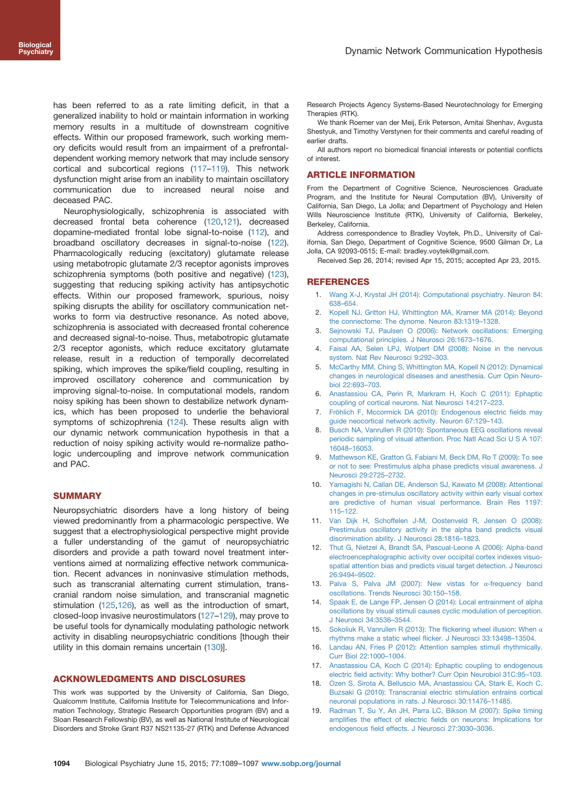<span id="page-5-0"></span>has been referred to as a rate limiting deficit, in that a generalized inability to hold or maintain information in working memory results in a multitude of downstream cognitive effects. Within our proposed framework, such working memory deficits would result from an impairment of a prefrontaldependent working memory network that may include sensory cortical and subcortical regions ([117](#page-8-0)–[119](#page-8-0)). This network dysfunction might arise from an inability to maintain oscillatory communication due to increased neural noise and deceased PAC.

Neurophysiologically, schizophrenia is associated with decreased frontal beta coherence [\(120,121\)](#page-8-0), decreased dopamine-mediated frontal lobe signal-to-noise [\(112](#page-8-0)), and broadband oscillatory decreases in signal-to-noise ([122](#page-8-0)). Pharmacologically reducing (excitatory) glutamate release using metabotropic glutamate 2/3 receptor agonists improves schizophrenia symptoms (both positive and negative) ([123](#page-8-0)), suggesting that reducing spiking activity has antipsychotic effects. Within our proposed framework, spurious, noisy spiking disrupts the ability for oscillatory communication networks to form via destructive resonance. As noted above, schizophrenia is associated with decreased frontal coherence and decreased signal-to-noise. Thus, metabotropic glutamate 2/3 receptor agonists, which reduce excitatory glutamate release, result in a reduction of temporally decorrelated spiking, which improves the spike/field coupling, resulting in improved oscillatory coherence and communication by improving signal-to-noise. In computational models, random noisy spiking has been shown to destabilize network dynamics, which has been proposed to underlie the behavioral symptoms of schizophrenia ([124\)](#page-8-0). These results align with our dynamic network communication hypothesis in that a reduction of noisy spiking activity would re-normalize pathologic undercoupling and improve network communication and PAC.

## **SUMMARY**

Neuropsychiatric disorders have a long history of being viewed predominantly from a pharmacologic perspective. We suggest that a electrophysiological perspective might provide a fuller understanding of the gamut of neuropsychiatric disorders and provide a path toward novel treatment interventions aimed at normalizing effective network communication. Recent advances in noninvasive stimulation methods, such as transcranial alternating current stimulation, transcranial random noise simulation, and transcranial magnetic stimulation ([125,126](#page-8-0)), as well as the introduction of smart, closed-loop invasive neurostimulators ([127](#page-8-0)–[129\)](#page-8-0), may prove to be useful tools for dynamically modulating pathologic network activity in disabling neuropsychiatric conditions [though their utility in this domain remains uncertain [\(130\)](#page-8-0)].

#### ACKNOWLEDGMENTS AND DISCLOSURES

This work was supported by the University of California, San Diego, Qualcomm Institute, California Institute for Telecommunications and Information Technology, Strategic Research Opportunities program (BV) and a Sloan Research Fellowship (BV), as well as National Institute of Neurological Disorders and Stroke Grant R37 NS21135-27 (RTK) and Defense Advanced Research Projects Agency Systems-Based Neurotechnology for Emerging Therapies (RTK).

We thank Roemer van der Meij, Erik Peterson, Amitai Shenhav, Avgusta Shestyuk, and Timothy Verstynen for their comments and careful reading of earlier drafts.

All authors report no biomedical financial interests or potential conflicts of interest.

#### ARTICLE INFORMATION

From the Department of Cognitive Science, Neurosciences Graduate Program, and the Institute for Neural Computation (BV), University of California, San Diego, La Jolla; and Department of Psychology and Helen Wills Neuroscience Institute (RTK), University of California, Berkeley, Berkeley, California.

Address correspondence to Bradley Voytek, Ph.D., University of California, San Diego, Department of Cognitive Science, 9500 Gilman Dr, La Jolla, CA 92093-0515; E-mail: bradley.voytek@gmail.com.

Received Sep 26, 2014; revised Apr 15, 2015; accepted Apr 23, 2015.

## REFERENCES

- 1. [Wang X-J, Krystal JH \(2014\): Computational psychiatry. Neuron 84:](http://refhub.elsevier.com/S0006-3223(15)00354-6/sbref0005) 638–[654.](http://refhub.elsevier.com/S0006-3223(15)00354-6/sbref0005)
- 2. [Kopell NJ, Gritton HJ, Whittington MA, Kramer MA \(2014\): Beyond](http://refhub.elsevier.com/S0006-3223(15)00354-6/sbref0010) [the connectome: The dynome. Neuron 83:1319](http://refhub.elsevier.com/S0006-3223(15)00354-6/sbref0010)–1328.
- 3. [Sejnowski TJ, Paulsen O \(2006\): Network oscillations: Emerging](http://refhub.elsevier.com/S0006-3223(15)00354-6/sbref0015) [computational principles. J Neurosci 26:1673](http://refhub.elsevier.com/S0006-3223(15)00354-6/sbref0015)–1676.
- 4. [Faisal AA, Selen LPJ, Wolpert DM \(2008\): Noise in the nervous](http://refhub.elsevier.com/S0006-3223(15)00354-6/sbref0020) [system. Nat Rev Neurosci 9:292](http://refhub.elsevier.com/S0006-3223(15)00354-6/sbref0020)–303.
- 5. [McCarthy MM, Ching S, Whittington MA, Kopell N \(2012\): Dynamical](http://refhub.elsevier.com/S0006-3223(15)00354-6/sbref0025) [changes in neurological diseases and anesthesia. Curr Opin Neuro](http://refhub.elsevier.com/S0006-3223(15)00354-6/sbref0025)[biol 22:693](http://refhub.elsevier.com/S0006-3223(15)00354-6/sbref0025)–703.
- 6. [Anastassiou CA, Perin R, Markram H, Koch C \(2011\): Ephaptic](http://refhub.elsevier.com/S0006-3223(15)00354-6/sbref0030) [coupling of cortical neurons. Nat Neurosci 14:217](http://refhub.elsevier.com/S0006-3223(15)00354-6/sbref0030)–223.
- 7. [Fröhlich F, Mccormick DA \(2010\): Endogenous electric](http://refhub.elsevier.com/S0006-3223(15)00354-6/sbref0035) fields may [guide neocortical network activity. Neuron 67:129](http://refhub.elsevier.com/S0006-3223(15)00354-6/sbref0035)–143.
- 8. [Busch NA, Vanrullen R \(2010\): Spontaneous EEG oscillations reveal](http://refhub.elsevier.com/S0006-3223(15)00354-6/sbref0040) [periodic sampling of visual attention. Proc Natl Acad Sci U S A 107:](http://refhub.elsevier.com/S0006-3223(15)00354-6/sbref0040) 16048–[16053.](http://refhub.elsevier.com/S0006-3223(15)00354-6/sbref0040)
- 9. [Mathewson KE, Gratton G, Fabiani M, Beck DM, Ro T \(2009\): To see](http://refhub.elsevier.com/S0006-3223(15)00354-6/sbref0045) [or not to see: Prestimulus alpha phase predicts visual awareness. J](http://refhub.elsevier.com/S0006-3223(15)00354-6/sbref0045) [Neurosci 29:2725](http://refhub.elsevier.com/S0006-3223(15)00354-6/sbref0045)–2732.
- 10. [Yamagishi N, Callan DE, Anderson SJ, Kawato M \(2008\): Attentional](http://refhub.elsevier.com/S0006-3223(15)00354-6/sbref0050) [changes in pre-stimulus oscillatory activity within early visual cortex](http://refhub.elsevier.com/S0006-3223(15)00354-6/sbref0050) [are predictive of human visual performance. Brain Res 1197:](http://refhub.elsevier.com/S0006-3223(15)00354-6/sbref0050) 115–[122.](http://refhub.elsevier.com/S0006-3223(15)00354-6/sbref0050)
- 11. [Van Dijk H, Schoffelen J-M, Oostenveld R, Jensen O \(2008\):](http://refhub.elsevier.com/S0006-3223(15)00354-6/sbref0055) [Prestimulus oscillatory activity in the alpha band predicts visual](http://refhub.elsevier.com/S0006-3223(15)00354-6/sbref0055) [discrimination ability. J Neurosci 28:1816](http://refhub.elsevier.com/S0006-3223(15)00354-6/sbref0055)–1823.
- 12. [Thut G, Nietzel A, Brandt SA, Pascual-Leone A \(2006\): Alpha-band](http://refhub.elsevier.com/S0006-3223(15)00354-6/sbref0060) [electroencephalographic activity over occipital cortex indexes visuo](http://refhub.elsevier.com/S0006-3223(15)00354-6/sbref0060)[spatial attention bias and predicts visual target detection. J Neurosci](http://refhub.elsevier.com/S0006-3223(15)00354-6/sbref0060) [26:9494](http://refhub.elsevier.com/S0006-3223(15)00354-6/sbref0060)–9502.
- 13. [Palva S, Palva JM \(2007\): New vistas for](http://refhub.elsevier.com/S0006-3223(15)00354-6/sbref0065) α-frequency band [oscillations. Trends Neurosci 30:150](http://refhub.elsevier.com/S0006-3223(15)00354-6/sbref0065)–158.
- 14. [Spaak E, de Lange FP, Jensen O \(2014\): Local entrainment of alpha](http://refhub.elsevier.com/S0006-3223(15)00354-6/sbref0070) [oscillations by visual stimuli causes cyclic modulation of perception.](http://refhub.elsevier.com/S0006-3223(15)00354-6/sbref0070) [J Neurosci 34:3536](http://refhub.elsevier.com/S0006-3223(15)00354-6/sbref0070)–3544.
- 15. [Sokoliuk R, Vanrullen R \(2013\): The](http://refhub.elsevier.com/S0006-3223(15)00354-6/sbref0075) flickering wheel illusion: When  $\alpha$ [rhythms make a static wheel](http://refhub.elsevier.com/S0006-3223(15)00354-6/sbref0075) flicker. J Neurosci 33:13498–13504.
- 16. [Landau AN, Fries P \(2012\): Attention samples stimuli rhythmically.](http://refhub.elsevier.com/S0006-3223(15)00354-6/sbref0080) [Curr Biol 22:1000](http://refhub.elsevier.com/S0006-3223(15)00354-6/sbref0080)–1004.
- 17. [Anastassiou CA, Koch C \(2014\): Ephaptic coupling to endogenous](http://refhub.elsevier.com/S0006-3223(15)00354-6/sbref0085) electric fi[eld activity: Why bother? Curr Opin Neurobiol 31C:95](http://refhub.elsevier.com/S0006-3223(15)00354-6/sbref0085)–103.
- 18. [Ozen S, Sirota A, Belluscio MA, Anastassiou CA, Stark E, Koch C,](http://refhub.elsevier.com/S0006-3223(15)00354-6/sbref0090) [Buzsaki G \(2010\): Transcranial electric stimulation entrains cortical](http://refhub.elsevier.com/S0006-3223(15)00354-6/sbref0090) [neuronal populations in rats. J Neurosci 30:11476](http://refhub.elsevier.com/S0006-3223(15)00354-6/sbref0090)–11485.
- 19. [Radman T, Su Y, An JH, Parra LC, Bikson M \(2007\): Spike timing](http://refhub.elsevier.com/S0006-3223(15)00354-6/sbref0095) amplifies the effect of electric fi[elds on neurons: Implications for](http://refhub.elsevier.com/S0006-3223(15)00354-6/sbref0095) endogenous fi[eld effects. J Neurosci 27:3030](http://refhub.elsevier.com/S0006-3223(15)00354-6/sbref0095)–3036.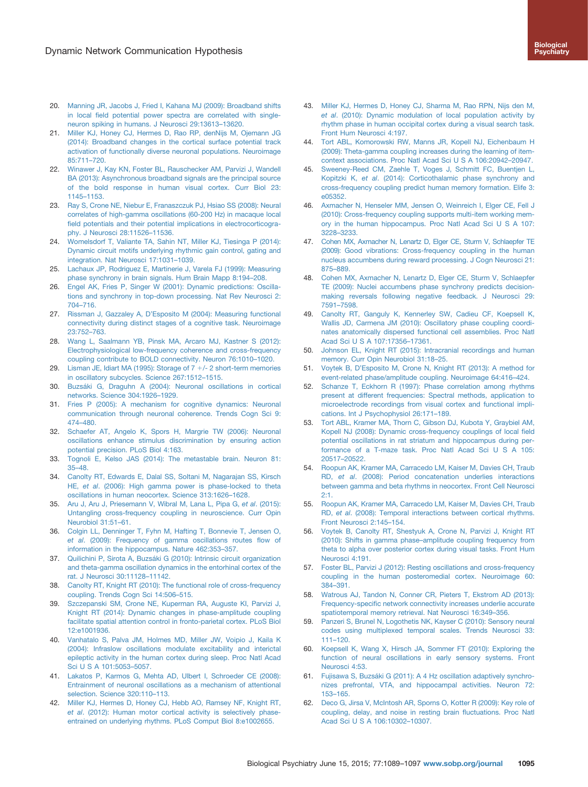- <span id="page-6-0"></span>20. [Manning JR, Jacobs J, Fried I, Kahana MJ \(2009\): Broadband shifts](http://refhub.elsevier.com/S0006-3223(15)00354-6/sbref0100) in local fi[eld potential power spectra are correlated with single](http://refhub.elsevier.com/S0006-3223(15)00354-6/sbref0100)[neuron spiking in humans. J Neurosci 29:13613](http://refhub.elsevier.com/S0006-3223(15)00354-6/sbref0100)–13620.
- 21. [Miller KJ, Honey CJ, Hermes D, Rao RP, denNijs M, Ojemann JG](http://refhub.elsevier.com/S0006-3223(15)00354-6/sbref0105) [\(2014\): Broadband changes in the cortical surface potential track](http://refhub.elsevier.com/S0006-3223(15)00354-6/sbref0105) [activation of functionally diverse neuronal populations. Neuroimage](http://refhub.elsevier.com/S0006-3223(15)00354-6/sbref0105) [85:711](http://refhub.elsevier.com/S0006-3223(15)00354-6/sbref0105)–720.
- 22. [Winawer J, Kay KN, Foster BL, Rauschecker AM, Parvizi J, Wandell](http://refhub.elsevier.com/S0006-3223(15)00354-6/sbref0110) [BA \(2013\): Asynchronous broadband signals are the principal source](http://refhub.elsevier.com/S0006-3223(15)00354-6/sbref0110) [of the bold response in human visual cortex. Curr Biol 23:](http://refhub.elsevier.com/S0006-3223(15)00354-6/sbref0110) 1145–[1153.](http://refhub.elsevier.com/S0006-3223(15)00354-6/sbref0110)
- 23. [Ray S, Crone NE, Niebur E, Franaszczuk PJ, Hsiao SS \(2008\): Neural](http://refhub.elsevier.com/S0006-3223(15)00354-6/sbref0115) [correlates of high-gamma oscillations \(60-200 Hz\) in macaque local](http://refhub.elsevier.com/S0006-3223(15)00354-6/sbref0115) fi[eld potentials and their potential implications in electrocorticogra](http://refhub.elsevier.com/S0006-3223(15)00354-6/sbref0115)[phy. J Neurosci 28:11526](http://refhub.elsevier.com/S0006-3223(15)00354-6/sbref0115)–11536.
- 24. [Womelsdorf T, Valiante TA, Sahin NT, Miller KJ, Tiesinga P \(2014\):](http://refhub.elsevier.com/S0006-3223(15)00354-6/sbref0120) [Dynamic circuit motifs underlying rhythmic gain control, gating and](http://refhub.elsevier.com/S0006-3223(15)00354-6/sbref0120) [integration. Nat Neurosci 17:1031](http://refhub.elsevier.com/S0006-3223(15)00354-6/sbref0120)–1039.
- 25. [Lachaux JP, Rodriguez E, Martinerie J, Varela FJ \(1999\): Measuring](http://refhub.elsevier.com/S0006-3223(15)00354-6/sbref0125) [phase synchrony in brain signals. Hum Brain Mapp 8:194](http://refhub.elsevier.com/S0006-3223(15)00354-6/sbref0125)–208.
- 26. [Engel AK, Fries P, Singer W \(2001\): Dynamic predictions: Oscilla](http://refhub.elsevier.com/S0006-3223(15)00354-6/sbref0130)[tions and synchrony in top-down processing. Nat Rev Neurosci 2:](http://refhub.elsevier.com/S0006-3223(15)00354-6/sbref0130) 704–[716.](http://refhub.elsevier.com/S0006-3223(15)00354-6/sbref0130)
- 27. Rissman J, Gazzaley A, D'[Esposito M \(2004\): Measuring functional](http://refhub.elsevier.com/S0006-3223(15)00354-6/sbref0135) [connectivity during distinct stages of a cognitive task. Neuroimage](http://refhub.elsevier.com/S0006-3223(15)00354-6/sbref0135) [23:752](http://refhub.elsevier.com/S0006-3223(15)00354-6/sbref0135)–763.
- 28. [Wang L, Saalmann YB, Pinsk MA, Arcaro MJ, Kastner S \(2012\):](http://refhub.elsevier.com/S0006-3223(15)00354-6/sbref0140) [Electrophysiological low-frequency coherence and cross-frequency](http://refhub.elsevier.com/S0006-3223(15)00354-6/sbref0140) [coupling contribute to BOLD connectivity. Neuron 76:1010](http://refhub.elsevier.com/S0006-3223(15)00354-6/sbref0140)–1020.
- 29. Lisman JE, Idiart MA (1995): Storage of  $7 +/- 2$  short-term memories [in oscillatory subcycles. Science 267:1512](http://refhub.elsevier.com/S0006-3223(15)00354-6/sbref0145)–1515.
- 30. [Buzsáki G, Draguhn A \(2004\): Neuronal oscillations in cortical](http://refhub.elsevier.com/S0006-3223(15)00354-6/sbref0150) [networks. Science 304:1926](http://refhub.elsevier.com/S0006-3223(15)00354-6/sbref0150)–1929.
- 31. [Fries P \(2005\): A mechanism for cognitive dynamics: Neuronal](http://refhub.elsevier.com/S0006-3223(15)00354-6/sbref0155) [communication through neuronal coherence. Trends Cogn Sci 9:](http://refhub.elsevier.com/S0006-3223(15)00354-6/sbref0155) 474–[480.](http://refhub.elsevier.com/S0006-3223(15)00354-6/sbref0155)
- 32. [Schaefer AT, Angelo K, Spors H, Margrie TW \(2006\): Neuronal](http://refhub.elsevier.com/S0006-3223(15)00354-6/sbref0160) [oscillations enhance stimulus discrimination by ensuring action](http://refhub.elsevier.com/S0006-3223(15)00354-6/sbref0160) [potential precision. PLoS Biol 4:163.](http://refhub.elsevier.com/S0006-3223(15)00354-6/sbref0160)
- 33. [Tognoli E, Kelso JAS \(2014\): The metastable brain. Neuron 81:](http://refhub.elsevier.com/S0006-3223(15)00354-6/sbref0165) 35–[48.](http://refhub.elsevier.com/S0006-3223(15)00354-6/sbref0165)
- 34. [Canolty RT, Edwards E, Dalal SS, Soltani M, Nagarajan SS, Kirsch](http://refhub.elsevier.com/S0006-3223(15)00354-6/sbref0170) HE, et al[. \(2006\): High gamma power is phase-locked to theta](http://refhub.elsevier.com/S0006-3223(15)00354-6/sbref0170) [oscillations in human neocortex. Science 313:1626](http://refhub.elsevier.com/S0006-3223(15)00354-6/sbref0170)–1628.
- 35. [Aru J, Aru J, Priesemann V, Wibral M, Lana L, Pipa G,](http://refhub.elsevier.com/S0006-3223(15)00354-6/sbref0175) et al. (2015): [Untangling cross-frequency coupling in neuroscience. Curr Opin](http://refhub.elsevier.com/S0006-3223(15)00354-6/sbref0175) [Neurobiol 31:51](http://refhub.elsevier.com/S0006-3223(15)00354-6/sbref0175)–61.
- 36. [Colgin LL, Denninger T, Fyhn M, Hafting T, Bonnevie T, Jensen O,](http://refhub.elsevier.com/S0006-3223(15)00354-6/sbref0180) et al[. \(2009\): Frequency of gamma oscillations routes](http://refhub.elsevier.com/S0006-3223(15)00354-6/sbref0180) flow of [information in the hippocampus. Nature 462:353](http://refhub.elsevier.com/S0006-3223(15)00354-6/sbref0180)–357.
- 37. [Quilichini P, Sirota A, Buzsáki G \(2010\): Intrinsic circuit organization](http://refhub.elsevier.com/S0006-3223(15)00354-6/sbref0185) [and theta-gamma oscillation dynamics in the entorhinal cortex of the](http://refhub.elsevier.com/S0006-3223(15)00354-6/sbref0185) [rat. J Neurosci 30:11128](http://refhub.elsevier.com/S0006-3223(15)00354-6/sbref0185)–11142.
- 38. [Canolty RT, Knight RT \(2010\): The functional role of cross-frequency](http://refhub.elsevier.com/S0006-3223(15)00354-6/sbref0190) [coupling. Trends Cogn Sci 14:506](http://refhub.elsevier.com/S0006-3223(15)00354-6/sbref0190)–515.
- 39. [Szczepanski SM, Crone NE, Kuperman RA, Auguste KI, Parvizi J,](http://refhub.elsevier.com/S0006-3223(15)00354-6/sbref0195) [Knight RT \(2014\): Dynamic changes in phase-amplitude coupling](http://refhub.elsevier.com/S0006-3223(15)00354-6/sbref0195) [facilitate spatial attention control in fronto-parietal cortex. PLoS Biol](http://refhub.elsevier.com/S0006-3223(15)00354-6/sbref0195) [12:e1001936.](http://refhub.elsevier.com/S0006-3223(15)00354-6/sbref0195)
- 40. [Vanhatalo S, Palva JM, Holmes MD, Miller JW, Voipio J, Kaila K](http://refhub.elsevier.com/S0006-3223(15)00354-6/sbref0200) [\(2004\): Infraslow oscillations modulate excitability and interictal](http://refhub.elsevier.com/S0006-3223(15)00354-6/sbref0200) [epileptic activity in the human cortex during sleep. Proc Natl Acad](http://refhub.elsevier.com/S0006-3223(15)00354-6/sbref0200) [Sci U S A 101:5053](http://refhub.elsevier.com/S0006-3223(15)00354-6/sbref0200)–5057.
- 41. [Lakatos P, Karmos G, Mehta AD, Ulbert I, Schroeder CE \(2008\):](http://refhub.elsevier.com/S0006-3223(15)00354-6/sbref0205) [Entrainment of neuronal oscillations as a mechanism of attentional](http://refhub.elsevier.com/S0006-3223(15)00354-6/sbref0205) [selection. Science 320:110](http://refhub.elsevier.com/S0006-3223(15)00354-6/sbref0205)–113.
- 42. [Miller KJ, Hermes D, Honey CJ, Hebb AO, Ramsey NF, Knight RT,](http://refhub.elsevier.com/S0006-3223(15)00354-6/sbref0210) et al[. \(2012\): Human motor cortical activity is selectively phase](http://refhub.elsevier.com/S0006-3223(15)00354-6/sbref0210)[entrained on underlying rhythms. PLoS Comput Biol 8:e1002655.](http://refhub.elsevier.com/S0006-3223(15)00354-6/sbref0210)
- 43. [Miller KJ, Hermes D, Honey CJ, Sharma M, Rao RPN, Nijs den M,](http://refhub.elsevier.com/S0006-3223(15)00354-6/sbref0215) et al[. \(2010\): Dynamic modulation of local population activity by](http://refhub.elsevier.com/S0006-3223(15)00354-6/sbref0215) [rhythm phase in human occipital cortex during a visual search task.](http://refhub.elsevier.com/S0006-3223(15)00354-6/sbref0215) [Front Hum Neurosci 4:197.](http://refhub.elsevier.com/S0006-3223(15)00354-6/sbref0215)
- 44. [Tort ABL, Komorowski RW, Manns JR, Kopell NJ, Eichenbaum H](http://refhub.elsevier.com/S0006-3223(15)00354-6/sbref0220) [\(2009\): Theta-gamma coupling increases during the learning of item](http://refhub.elsevier.com/S0006-3223(15)00354-6/sbref0220)[context associations. Proc Natl Acad Sci U S A 106:20942](http://refhub.elsevier.com/S0006-3223(15)00354-6/sbref0220)–20947.
- 45. [Sweeney-Reed CM, Zaehle T, Voges J, Schmitt FC, Buentjen L,](http://refhub.elsevier.com/S0006-3223(15)00354-6/sbref0225) Kopitzki K, et al[. \(2014\): Corticothalamic phase synchrony and](http://refhub.elsevier.com/S0006-3223(15)00354-6/sbref0225) [cross-frequency coupling predict human memory formation. Elife 3:](http://refhub.elsevier.com/S0006-3223(15)00354-6/sbref0225) [e05352.](http://refhub.elsevier.com/S0006-3223(15)00354-6/sbref0225)
- 46. [Axmacher N, Henseler MM, Jensen O, Weinreich I, Elger CE, Fell J](http://refhub.elsevier.com/S0006-3223(15)00354-6/sbref0230) [\(2010\): Cross-frequency coupling supports multi-item working mem](http://refhub.elsevier.com/S0006-3223(15)00354-6/sbref0230)[ory in the human hippocampus. Proc Natl Acad Sci U S A 107:](http://refhub.elsevier.com/S0006-3223(15)00354-6/sbref0230) 3228–[3233.](http://refhub.elsevier.com/S0006-3223(15)00354-6/sbref0230)
- 47. [Cohen MX, Axmacher N, Lenartz D, Elger CE, Sturm V, Schlaepfer TE](http://refhub.elsevier.com/S0006-3223(15)00354-6/sbref0235) [\(2009\): Good vibrations: Cross-frequency coupling in the human](http://refhub.elsevier.com/S0006-3223(15)00354-6/sbref0235) [nucleus accumbens during reward processing. J Cogn Neurosci 21:](http://refhub.elsevier.com/S0006-3223(15)00354-6/sbref0235) 875–[889.](http://refhub.elsevier.com/S0006-3223(15)00354-6/sbref0235)
- 48. [Cohen MX, Axmacher N, Lenartz D, Elger CE, Sturm V, Schlaepfer](http://refhub.elsevier.com/S0006-3223(15)00354-6/sbref0240) [TE \(2009\): Nuclei accumbens phase synchrony predicts decision](http://refhub.elsevier.com/S0006-3223(15)00354-6/sbref0240)[making reversals following negative feedback. J Neurosci 29:](http://refhub.elsevier.com/S0006-3223(15)00354-6/sbref0240) 7591–[7598.](http://refhub.elsevier.com/S0006-3223(15)00354-6/sbref0240)
- 49. [Canolty RT, Ganguly K, Kennerley SW, Cadieu CF, Koepsell K,](http://refhub.elsevier.com/S0006-3223(15)00354-6/sbref0245) [Wallis JD, Carmena JM \(2010\): Oscillatory phase coupling coordi](http://refhub.elsevier.com/S0006-3223(15)00354-6/sbref0245)[nates anatomically dispersed functional cell assemblies. Proc Natl](http://refhub.elsevier.com/S0006-3223(15)00354-6/sbref0245) [Acad Sci U S A 107:17356](http://refhub.elsevier.com/S0006-3223(15)00354-6/sbref0245)–17361.
- 50. [Johnson EL, Knight RT \(2015\): Intracranial recordings and human](http://refhub.elsevier.com/S0006-3223(15)00354-6/sbref0250) [memory. Curr Opin Neurobiol 31:18](http://refhub.elsevier.com/S0006-3223(15)00354-6/sbref0250)–25.
- 51. Voytek B, D'[Esposito M, Crone N, Knight RT \(2013\): A method for](http://refhub.elsevier.com/S0006-3223(15)00354-6/sbref0255) [event-related phase/amplitude coupling. Neuroimage 64:416](http://refhub.elsevier.com/S0006-3223(15)00354-6/sbref0255)–424.
- 52. [Schanze T, Eckhorn R \(1997\): Phase correlation among rhythms](http://refhub.elsevier.com/S0006-3223(15)00354-6/sbref0260) [present at different frequencies: Spectral methods, application to](http://refhub.elsevier.com/S0006-3223(15)00354-6/sbref0260) [microelectrode recordings from visual cortex and functional impli](http://refhub.elsevier.com/S0006-3223(15)00354-6/sbref0260)[cations. Int J Psychophysiol 26:171](http://refhub.elsevier.com/S0006-3223(15)00354-6/sbref0260)–189.
- 53. [Tort ABL, Kramer MA, Thorn C, Gibson DJ, Kubota Y, Graybiel AM,](http://refhub.elsevier.com/S0006-3223(15)00354-6/sbref0265) [Kopell NJ \(2008\): Dynamic cross-frequency couplings of local](http://refhub.elsevier.com/S0006-3223(15)00354-6/sbref0265) field [potential oscillations in rat striatum and hippocampus during per](http://refhub.elsevier.com/S0006-3223(15)00354-6/sbref0265)[formance of a T-maze task. Proc Natl Acad Sci U S A 105:](http://refhub.elsevier.com/S0006-3223(15)00354-6/sbref0265) 20517–[20522.](http://refhub.elsevier.com/S0006-3223(15)00354-6/sbref0265)
- 54. [Roopun AK, Kramer MA, Carracedo LM, Kaiser M, Davies CH, Traub](http://refhub.elsevier.com/S0006-3223(15)00354-6/sbref0270) RD, et al[. \(2008\): Period concatenation underlies interactions](http://refhub.elsevier.com/S0006-3223(15)00354-6/sbref0270) [between gamma and beta rhythms in neocortex. Front Cell Neurosci](http://refhub.elsevier.com/S0006-3223(15)00354-6/sbref0270) [2:1.](http://refhub.elsevier.com/S0006-3223(15)00354-6/sbref0270)
- 55. [Roopun AK, Kramer MA, Carracedo LM, Kaiser M, Davies CH, Traub](http://refhub.elsevier.com/S0006-3223(15)00354-6/sbref0275) RD, et al[. \(2008\): Temporal interactions between cortical rhythms.](http://refhub.elsevier.com/S0006-3223(15)00354-6/sbref0275) [Front Neurosci 2:145](http://refhub.elsevier.com/S0006-3223(15)00354-6/sbref0275)–154.
- 56. [Voytek B, Canolty RT, Shestyuk A, Crone N, Parvizi J, Knight RT](http://refhub.elsevier.com/S0006-3223(15)00354-6/sbref0280) (2010): Shifts in gamma phase–[amplitude coupling frequency from](http://refhub.elsevier.com/S0006-3223(15)00354-6/sbref0280) [theta to alpha over posterior cortex during visual tasks. Front Hum](http://refhub.elsevier.com/S0006-3223(15)00354-6/sbref0280) [Neurosci 4:191.](http://refhub.elsevier.com/S0006-3223(15)00354-6/sbref0280)
- 57. [Foster BL, Parvizi J \(2012\): Resting oscillations and cross-frequency](http://refhub.elsevier.com/S0006-3223(15)00354-6/sbref0285) [coupling in the human posteromedial cortex. Neuroimage 60:](http://refhub.elsevier.com/S0006-3223(15)00354-6/sbref0285) 384–[391.](http://refhub.elsevier.com/S0006-3223(15)00354-6/sbref0285)
- 58. [Watrous AJ, Tandon N, Conner CR, Pieters T, Ekstrom AD \(2013\):](http://refhub.elsevier.com/S0006-3223(15)00354-6/sbref0290) Frequency-specifi[c network connectivity increases underlie accurate](http://refhub.elsevier.com/S0006-3223(15)00354-6/sbref0290) [spatiotemporal memory retrieval. Nat Neurosci 16:349](http://refhub.elsevier.com/S0006-3223(15)00354-6/sbref0290)–356.
- 59. [Panzeri S, Brunel N, Logothetis NK, Kayser C \(2010\): Sensory neural](http://refhub.elsevier.com/S0006-3223(15)00354-6/sbref0295) [codes using multiplexed temporal scales. Trends Neurosci 33:](http://refhub.elsevier.com/S0006-3223(15)00354-6/sbref0295) 111–[120.](http://refhub.elsevier.com/S0006-3223(15)00354-6/sbref0295)
- 60. [Koepsell K, Wang X, Hirsch JA, Sommer FT \(2010\): Exploring the](http://refhub.elsevier.com/S0006-3223(15)00354-6/sbref0300) [function of neural oscillations in early sensory systems. Front](http://refhub.elsevier.com/S0006-3223(15)00354-6/sbref0300) [Neurosci 4:53.](http://refhub.elsevier.com/S0006-3223(15)00354-6/sbref0300)
- 61. [Fujisawa S, Buzsáki G \(2011\): A 4 Hz oscillation adaptively synchro](http://refhub.elsevier.com/S0006-3223(15)00354-6/sbref0305)[nizes prefrontal, VTA, and hippocampal activities. Neuron 72:](http://refhub.elsevier.com/S0006-3223(15)00354-6/sbref0305) 153–[165.](http://refhub.elsevier.com/S0006-3223(15)00354-6/sbref0305)
- 62. [Deco G, Jirsa V, McIntosh AR, Sporns O, Kotter R \(2009\): Key role of](http://refhub.elsevier.com/S0006-3223(15)00354-6/sbref0310) [coupling, delay, and noise in resting brain](http://refhub.elsevier.com/S0006-3223(15)00354-6/sbref0310) fluctuations. Proc Natl [Acad Sci U S A 106:10302](http://refhub.elsevier.com/S0006-3223(15)00354-6/sbref0310)–10307.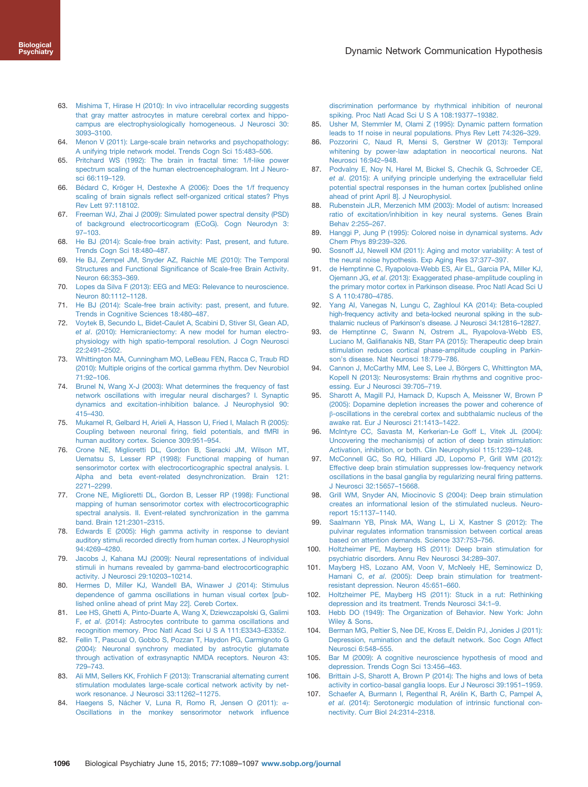- <span id="page-7-0"></span>63. [Mishima T, Hirase H \(2010\): In vivo intracellular recording suggests](http://refhub.elsevier.com/S0006-3223(15)00354-6/sbref0315) [that gray matter astrocytes in mature cerebral cortex and hippo](http://refhub.elsevier.com/S0006-3223(15)00354-6/sbref0315)[campus are electrophysiologically homogeneous. J Neurosci 30:](http://refhub.elsevier.com/S0006-3223(15)00354-6/sbref0315) 3093–[3100.](http://refhub.elsevier.com/S0006-3223(15)00354-6/sbref0315)
- 64. [Menon V \(2011\): Large-scale brain networks and psychopathology:](http://refhub.elsevier.com/S0006-3223(15)00354-6/sbref0320) [A unifying triple network model. Trends Cogn Sci 15:483](http://refhub.elsevier.com/S0006-3223(15)00354-6/sbref0320)–506.
- 65. [Pritchard WS \(1992\): The brain in fractal time: 1/f-like power](http://refhub.elsevier.com/S0006-3223(15)00354-6/sbref0325) [spectrum scaling of the human electroencephalogram. Int J Neuro](http://refhub.elsevier.com/S0006-3223(15)00354-6/sbref0325)[sci 66:119](http://refhub.elsevier.com/S0006-3223(15)00354-6/sbref0325)–129.
- 66. [Bédard C, Kröger H, Destexhe A \(2006\): Does the 1/f frequency](http://refhub.elsevier.com/S0006-3223(15)00354-6/sbref0330) scaling of brain signals refl[ect self-organized critical states? Phys](http://refhub.elsevier.com/S0006-3223(15)00354-6/sbref0330) [Rev Lett 97:118102.](http://refhub.elsevier.com/S0006-3223(15)00354-6/sbref0330)
- 67. [Freeman WJ, Zhai J \(2009\): Simulated power spectral density \(PSD\)](http://refhub.elsevier.com/S0006-3223(15)00354-6/sbref0335) [of background electrocorticogram \(ECoG\). Cogn Neurodyn 3:](http://refhub.elsevier.com/S0006-3223(15)00354-6/sbref0335) 97–[103.](http://refhub.elsevier.com/S0006-3223(15)00354-6/sbref0335)
- 68. [He BJ \(2014\): Scale-free brain activity: Past, present, and future.](http://refhub.elsevier.com/S0006-3223(15)00354-6/sbref0340) [Trends Cogn Sci 18:480](http://refhub.elsevier.com/S0006-3223(15)00354-6/sbref0340)–487.
- 69. [He BJ, Zempel JM, Snyder AZ, Raichle ME \(2010\): The Temporal](http://refhub.elsevier.com/S0006-3223(15)00354-6/sbref0345) Structures and Functional Signifi[cance of Scale-free Brain Activity.](http://refhub.elsevier.com/S0006-3223(15)00354-6/sbref0345) [Neuron 66:353](http://refhub.elsevier.com/S0006-3223(15)00354-6/sbref0345)–369.
- 70. [Lopes da Silva F \(2013\): EEG and MEG: Relevance to neuroscience.](http://refhub.elsevier.com/S0006-3223(15)00354-6/sbref0350) [Neuron 80:1112](http://refhub.elsevier.com/S0006-3223(15)00354-6/sbref0350)–1128.
- 71. [He BJ \(2014\): Scale-free brain activity: past, present, and future.](http://refhub.elsevier.com/S0006-3223(15)00354-6/sbref0355) [Trends in Cognitive Sciences 18:480](http://refhub.elsevier.com/S0006-3223(15)00354-6/sbref0355)–487.
- 72. [Voytek B, Secundo L, Bidet-Caulet A, Scabini D, Stiver SI, Gean AD,](http://refhub.elsevier.com/S0006-3223(15)00354-6/sbref0360) et al[. \(2010\): Hemicraniectomy: A new model for human electro](http://refhub.elsevier.com/S0006-3223(15)00354-6/sbref0360)[physiology with high spatio-temporal resolution. J Cogn Neurosci](http://refhub.elsevier.com/S0006-3223(15)00354-6/sbref0360) [22:2491](http://refhub.elsevier.com/S0006-3223(15)00354-6/sbref0360)–2502.
- 73. [Whittington MA, Cunningham MO, LeBeau FEN, Racca C, Traub RD](http://refhub.elsevier.com/S0006-3223(15)00354-6/sbref0365) [\(2010\): Multiple origins of the cortical gamma rhythm. Dev Neurobiol](http://refhub.elsevier.com/S0006-3223(15)00354-6/sbref0365) [71:92](http://refhub.elsevier.com/S0006-3223(15)00354-6/sbref0365)–106.
- 74. [Brunel N, Wang X-J \(2003\): What determines the frequency of fast](http://refhub.elsevier.com/S0006-3223(15)00354-6/sbref0370) [network oscillations with irregular neural discharges? I. Synaptic](http://refhub.elsevier.com/S0006-3223(15)00354-6/sbref0370) [dynamics and excitation-inhibition balance. J Neurophysiol 90:](http://refhub.elsevier.com/S0006-3223(15)00354-6/sbref0370) 415–[430.](http://refhub.elsevier.com/S0006-3223(15)00354-6/sbref0370)
- 75. [Mukamel R, Gelbard H, Arieli A, Hasson U, Fried I, Malach R \(2005\):](http://refhub.elsevier.com/S0006-3223(15)00354-6/sbref0375) Coupling between neuronal firing, fi[eld potentials, and fMRI in](http://refhub.elsevier.com/S0006-3223(15)00354-6/sbref0375) [human auditory cortex. Science 309:951](http://refhub.elsevier.com/S0006-3223(15)00354-6/sbref0375)–954.
- 76. [Crone NE, Miglioretti DL, Gordon B, Sieracki JM, Wilson MT,](http://refhub.elsevier.com/S0006-3223(15)00354-6/sbref0380) [Uematsu S, Lesser RP \(1998\): Functional mapping of human](http://refhub.elsevier.com/S0006-3223(15)00354-6/sbref0380) [sensorimotor cortex with electrocorticographic spectral analysis. I.](http://refhub.elsevier.com/S0006-3223(15)00354-6/sbref0380) [Alpha and beta event-related desynchronization. Brain 121:](http://refhub.elsevier.com/S0006-3223(15)00354-6/sbref0380) 2271–[2299.](http://refhub.elsevier.com/S0006-3223(15)00354-6/sbref0380)
- 77. [Crone NE, Miglioretti DL, Gordon B, Lesser RP \(1998\): Functional](http://refhub.elsevier.com/S0006-3223(15)00354-6/sbref0385) [mapping of human sensorimotor cortex with electrocorticographic](http://refhub.elsevier.com/S0006-3223(15)00354-6/sbref0385) [spectral analysis. II. Event-related synchronization in the gamma](http://refhub.elsevier.com/S0006-3223(15)00354-6/sbref0385) [band. Brain 121:2301](http://refhub.elsevier.com/S0006-3223(15)00354-6/sbref0385)–2315.
- 78. [Edwards E \(2005\): High gamma activity in response to deviant](http://refhub.elsevier.com/S0006-3223(15)00354-6/sbref0390) [auditory stimuli recorded directly from human cortex. J Neurophysiol](http://refhub.elsevier.com/S0006-3223(15)00354-6/sbref0390) [94:4269](http://refhub.elsevier.com/S0006-3223(15)00354-6/sbref0390)–4280.
- 79. [Jacobs J, Kahana MJ \(2009\): Neural representations of individual](http://refhub.elsevier.com/S0006-3223(15)00354-6/sbref0395) [stimuli in humans revealed by gamma-band electrocorticographic](http://refhub.elsevier.com/S0006-3223(15)00354-6/sbref0395) [activity. J Neurosci 29:10203](http://refhub.elsevier.com/S0006-3223(15)00354-6/sbref0395)–10214.
- 80. [Hermes D, Miller KJ, Wandell BA, Winawer J \(2014\): Stimulus](http://refhub.elsevier.com/S0006-3223(15)00354-6/sbref0400) [dependence of gamma oscillations in human visual cortex \[pub](http://refhub.elsevier.com/S0006-3223(15)00354-6/sbref0400)[lished online ahead of print May 22\]. Cereb Cortex.](http://refhub.elsevier.com/S0006-3223(15)00354-6/sbref0400)
- 81. [Lee HS, Ghetti A, Pinto-Duarte A, Wang X, Dziewczapolski G, Galimi](http://refhub.elsevier.com/S0006-3223(15)00354-6/sbref0405) F, et al[. \(2014\): Astrocytes contribute to gamma oscillations and](http://refhub.elsevier.com/S0006-3223(15)00354-6/sbref0405) [recognition memory. Proc Natl Acad Sci U S A 111:E3343](http://refhub.elsevier.com/S0006-3223(15)00354-6/sbref0405)–E3352.
- 82. [Fellin T, Pascual O, Gobbo S, Pozzan T, Haydon PG, Carmignoto G](http://refhub.elsevier.com/S0006-3223(15)00354-6/sbref0410) [\(2004\): Neuronal synchrony mediated by astrocytic glutamate](http://refhub.elsevier.com/S0006-3223(15)00354-6/sbref0410) [through activation of extrasynaptic NMDA receptors. Neuron 43:](http://refhub.elsevier.com/S0006-3223(15)00354-6/sbref0410) 729–[743.](http://refhub.elsevier.com/S0006-3223(15)00354-6/sbref0410)
- 83. [Ali MM, Sellers KK, Frohlich F \(2013\): Transcranial alternating current](http://refhub.elsevier.com/S0006-3223(15)00354-6/sbref0415) [stimulation modulates large-scale cortical network activity by net](http://refhub.elsevier.com/S0006-3223(15)00354-6/sbref0415)[work resonance. J Neurosci 33:11262](http://refhub.elsevier.com/S0006-3223(15)00354-6/sbref0415)–11275.
- 84. [Haegens S, Nácher V, Luna R, Romo R, Jensen O \(2011\):](http://refhub.elsevier.com/S0006-3223(15)00354-6/sbref0420) α-[Oscillations in the monkey sensorimotor network in](http://refhub.elsevier.com/S0006-3223(15)00354-6/sbref0420)fluence

[discrimination performance by rhythmical inhibition of neuronal](http://refhub.elsevier.com/S0006-3223(15)00354-6/sbref0420) [spiking. Proc Natl Acad Sci U S A 108:19377](http://refhub.elsevier.com/S0006-3223(15)00354-6/sbref0420)–19382.

- 85. [Usher M, Stemmler M, Olami Z \(1995\): Dynamic pattern formation](http://refhub.elsevier.com/S0006-3223(15)00354-6/sbref0425) [leads to 1f noise in neural populations. Phys Rev Lett 74:326](http://refhub.elsevier.com/S0006-3223(15)00354-6/sbref0425)–329.
- 86. [Pozzorini C, Naud R, Mensi S, Gerstner W \(2013\): Temporal](http://refhub.elsevier.com/S0006-3223(15)00354-6/sbref0430) [whitening by power-law adaptation in neocortical neurons. Nat](http://refhub.elsevier.com/S0006-3223(15)00354-6/sbref0430) [Neurosci 16:942](http://refhub.elsevier.com/S0006-3223(15)00354-6/sbref0430)–948.
- 87. [Podvalny E, Noy N, Harel M, Bickel S, Chechik G, Schroeder CE,](http://refhub.elsevier.com/S0006-3223(15)00354-6/sbref0435) et al[. \(2015\): A unifying principle underlying the extracellular](http://refhub.elsevier.com/S0006-3223(15)00354-6/sbref0435) field [potential spectral responses in the human cortex \[published online](http://refhub.elsevier.com/S0006-3223(15)00354-6/sbref0435) [ahead of print April 8\]. J Neurophysiol.](http://refhub.elsevier.com/S0006-3223(15)00354-6/sbref0435)
- 88. [Rubenstein JLR, Merzenich MM \(2003\): Model of autism: Increased](http://refhub.elsevier.com/S0006-3223(15)00354-6/sbref0440) [ratio of excitation/inhibition in key neural systems. Genes Brain](http://refhub.elsevier.com/S0006-3223(15)00354-6/sbref0440) [Behav 2:255](http://refhub.elsevier.com/S0006-3223(15)00354-6/sbref0440)–267.
- 89. [Hanggi P, Jung P \(1995\): Colored noise in dynamical systems. Adv](http://refhub.elsevier.com/S0006-3223(15)00354-6/sbref0445) [Chem Phys 89:239](http://refhub.elsevier.com/S0006-3223(15)00354-6/sbref0445)–326.
- 90. [Sosnoff JJ, Newell KM \(2011\): Aging and motor variability: A test of](http://refhub.elsevier.com/S0006-3223(15)00354-6/sbref0450) [the neural noise hypothesis. Exp Aging Res 37:377](http://refhub.elsevier.com/S0006-3223(15)00354-6/sbref0450)–397.
- 91. [de Hemptinne C, Ryapolova-Webb ES, Air EL, Garcia PA, Miller KJ,](http://refhub.elsevier.com/S0006-3223(15)00354-6/sbref0455) Ojemann JG, et al[. \(2013\): Exaggerated phase-amplitude coupling in](http://refhub.elsevier.com/S0006-3223(15)00354-6/sbref0455) [the primary motor cortex in Parkinson disease. Proc Natl Acad Sci U](http://refhub.elsevier.com/S0006-3223(15)00354-6/sbref0455) [S A 110:4780](http://refhub.elsevier.com/S0006-3223(15)00354-6/sbref0455)–4785.
- 92. [Yang AI, Vanegas N, Lungu C, Zaghloul KA \(2014\): Beta-coupled](http://refhub.elsevier.com/S0006-3223(15)00354-6/sbref0460) [high-frequency activity and beta-locked neuronal spiking in the sub](http://refhub.elsevier.com/S0006-3223(15)00354-6/sbref0460)thalamic nucleus of Parkinson'[s disease. J Neurosci 34:12816](http://refhub.elsevier.com/S0006-3223(15)00354-6/sbref0460)–12827.
- 93. [de Hemptinne C, Swann N, Ostrem JL, Ryapolova-Webb ES,](http://refhub.elsevier.com/S0006-3223(15)00354-6/sbref0465) Luciano M, Galifi[anakis NB, Starr PA \(2015\): Therapeutic deep brain](http://refhub.elsevier.com/S0006-3223(15)00354-6/sbref0465) [stimulation reduces cortical phase-amplitude coupling in Parkin](http://refhub.elsevier.com/S0006-3223(15)00354-6/sbref0465)son'[s disease. Nat Neurosci 18:779](http://refhub.elsevier.com/S0006-3223(15)00354-6/sbref0465)–786.
- 94. [Cannon J, McCarthy MM, Lee S, Lee J, Börgers C, Whittington MA,](http://refhub.elsevier.com/S0006-3223(15)00354-6/sbref0470) [Kopell N \(2013\): Neurosystems: Brain rhythms and cognitive proc](http://refhub.elsevier.com/S0006-3223(15)00354-6/sbref0470)[essing. Eur J Neurosci 39:705](http://refhub.elsevier.com/S0006-3223(15)00354-6/sbref0470)–719.
- 95. [Sharott A, Magill PJ, Harnack D, Kupsch A, Meissner W, Brown P](http://refhub.elsevier.com/S0006-3223(15)00354-6/sbref0475) [\(2005\): Dopamine depletion increases the power and coherence of](http://refhub.elsevier.com/S0006-3223(15)00354-6/sbref0475) β[-oscillations in the cerebral cortex and subthalamic nucleus of the](http://refhub.elsevier.com/S0006-3223(15)00354-6/sbref0475) [awake rat. Eur J Neurosci 21:1413](http://refhub.elsevier.com/S0006-3223(15)00354-6/sbref0475)–1422.
- 96. [McIntyre CC, Savasta M, Kerkerian-Le Goff L, Vitek JL \(2004\):](http://refhub.elsevier.com/S0006-3223(15)00354-6/sbref0480) [Uncovering the mechanism\(s\) of action of deep brain stimulation:](http://refhub.elsevier.com/S0006-3223(15)00354-6/sbref0480) [Activation, inhibition, or both. Clin Neurophysiol 115:1239](http://refhub.elsevier.com/S0006-3223(15)00354-6/sbref0480)–1248.
- 97. [McConnell GC, So RQ, Hilliard JD, Lopomo P, Grill WM \(2012\):](http://refhub.elsevier.com/S0006-3223(15)00354-6/sbref0485) [Effective deep brain stimulation suppresses low-frequency network](http://refhub.elsevier.com/S0006-3223(15)00354-6/sbref0485) [oscillations in the basal ganglia by regularizing neural](http://refhub.elsevier.com/S0006-3223(15)00354-6/sbref0485) firing patterns. [J Neurosci 32:15657](http://refhub.elsevier.com/S0006-3223(15)00354-6/sbref0485)–15668.
- 98. [Grill WM, Snyder AN, Miocinovic S \(2004\): Deep brain stimulation](http://refhub.elsevier.com/S0006-3223(15)00354-6/sbref0490) [creates an informational lesion of the stimulated nucleus. Neuro](http://refhub.elsevier.com/S0006-3223(15)00354-6/sbref0490)[report 15:1137](http://refhub.elsevier.com/S0006-3223(15)00354-6/sbref0490)–1140.
- [Saalmann YB, Pinsk MA, Wang L, Li X, Kastner S \(2012\): The](http://refhub.elsevier.com/S0006-3223(15)00354-6/sbref0495) [pulvinar regulates information transmission between cortical areas](http://refhub.elsevier.com/S0006-3223(15)00354-6/sbref0495) [based on attention demands. Science 337:753](http://refhub.elsevier.com/S0006-3223(15)00354-6/sbref0495)–756.
- 100. [Holtzheimer PE, Mayberg HS \(2011\): Deep brain stimulation for](http://refhub.elsevier.com/S0006-3223(15)00354-6/sbref0500) [psychiatric disorders. Annu Rev Neurosci 34:289](http://refhub.elsevier.com/S0006-3223(15)00354-6/sbref0500)–307.
- 101. [Mayberg HS, Lozano AM, Voon V, McNeely HE, Seminowicz D,](http://refhub.elsevier.com/S0006-3223(15)00354-6/sbref0505) Hamani C, et al[. \(2005\): Deep brain stimulation for treatment](http://refhub.elsevier.com/S0006-3223(15)00354-6/sbref0505)[resistant depression. Neuron 45:651](http://refhub.elsevier.com/S0006-3223(15)00354-6/sbref0505)–660.
- 102. [Holtzheimer PE, Mayberg HS \(2011\): Stuck in a rut: Rethinking](http://refhub.elsevier.com/S0006-3223(15)00354-6/sbref0510) [depression and its treatment. Trends Neurosci 34:1](http://refhub.elsevier.com/S0006-3223(15)00354-6/sbref0510)–9.
- 103. [Hebb DO \(1949\): The Organization of Behavior. New York: John](http://refhub.elsevier.com/S0006-3223(15)00354-6/sbref0515) [Wiley](http://refhub.elsevier.com/S0006-3223(15)00354-6/sbref0515) & [Sons.](http://refhub.elsevier.com/S0006-3223(15)00354-6/sbref0515)
- 104. [Berman MG, Peltier S, Nee DE, Kross E, Deldin PJ, Jonides J \(2011\):](http://refhub.elsevier.com/S0006-3223(15)00354-6/sbref0520) [Depression, rumination and the default network. Soc Cogn Affect](http://refhub.elsevier.com/S0006-3223(15)00354-6/sbref0520) [Neurosci 6:548](http://refhub.elsevier.com/S0006-3223(15)00354-6/sbref0520)–555.
- 105. [Bar M \(2009\): A cognitive neuroscience hypothesis of mood and](http://refhub.elsevier.com/S0006-3223(15)00354-6/sbref0525) [depression. Trends Cogn Sci 13:456](http://refhub.elsevier.com/S0006-3223(15)00354-6/sbref0525)–463.
- 106. [Brittain J-S, Sharott A, Brown P \(2014\): The highs and lows of beta](http://refhub.elsevier.com/S0006-3223(15)00354-6/sbref0530) [activity in cortico-basal ganglia loops. Eur J Neurosci 39:1951](http://refhub.elsevier.com/S0006-3223(15)00354-6/sbref0530)–1959.
- 107. [Schaefer A, Burmann I, Regenthal R, Arélin K, Barth C, Pampel A,](http://refhub.elsevier.com/S0006-3223(15)00354-6/sbref0535) et al[. \(2014\): Serotonergic modulation of intrinsic functional con](http://refhub.elsevier.com/S0006-3223(15)00354-6/sbref0535)[nectivity. Curr Biol 24:2314](http://refhub.elsevier.com/S0006-3223(15)00354-6/sbref0535)–2318.